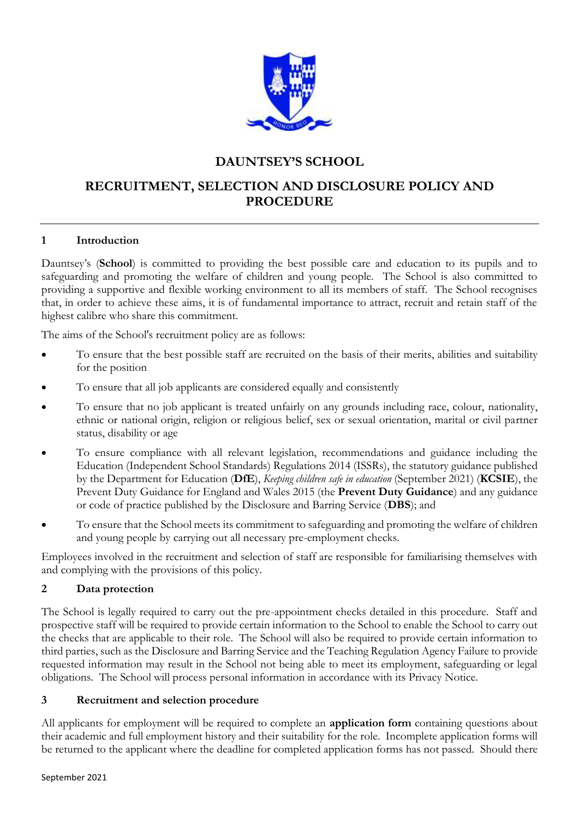

# **DAUNTSEY'S SCHOOL**

# **RECRUITMENT, SELECTION AND DISCLOSURE POLICY AND PROCEDURE**

## **1 Introduction**

Dauntsey's (**School**) is committed to providing the best possible care and education to its pupils and to safeguarding and promoting the welfare of children and young people. The School is also committed to providing a supportive and flexible working environment to all its members of staff. The School recognises that, in order to achieve these aims, it is of fundamental importance to attract, recruit and retain staff of the highest calibre who share this commitment.

The aims of the School's recruitment policy are as follows:

- To ensure that the best possible staff are recruited on the basis of their merits, abilities and suitability for the position
- To ensure that all job applicants are considered equally and consistently
- To ensure that no job applicant is treated unfairly on any grounds including race, colour, nationality, ethnic or national origin, religion or religious belief, sex or sexual orientation, marital or civil partner status, disability or age
- To ensure compliance with all relevant legislation, recommendations and guidance including the Education (Independent School Standards) Regulations 2014 (ISSRs), the statutory guidance published by the Department for Education (**DfE**), *Keeping children safe in education* (September 2021) (**KCSIE**), the Prevent Duty Guidance for England and Wales 2015 (the **Prevent Duty Guidance**) and any guidance or code of practice published by the Disclosure and Barring Service (**DBS**); and
- To ensure that the School meets its commitment to safeguarding and promoting the welfare of children and young people by carrying out all necessary pre-employment checks.

Employees involved in the recruitment and selection of staff are responsible for familiarising themselves with and complying with the provisions of this policy.

### **2 Data protection**

The School is legally required to carry out the pre-appointment checks detailed in this procedure. Staff and prospective staff will be required to provide certain information to the School to enable the School to carry out the checks that are applicable to their role. The School will also be required to provide certain information to third parties, such as the Disclosure and Barring Service and the Teaching Regulation Agency Failure to provide requested information may result in the School not being able to meet its employment, safeguarding or legal obligations. The School will process personal information in accordance with its Privacy Notice.

### **3 Recruitment and selection procedure**

All applicants for employment will be required to complete an **application form** containing questions about their academic and full employment history and their suitability for the role. Incomplete application forms will be returned to the applicant where the deadline for completed application forms has not passed. Should there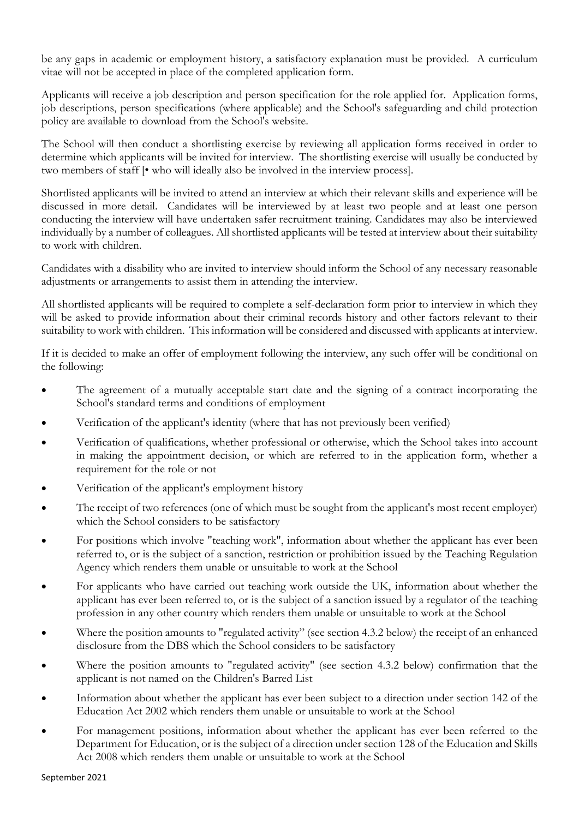be any gaps in academic or employment history, a satisfactory explanation must be provided. A curriculum vitae will not be accepted in place of the completed application form.

Applicants will receive a job description and person specification for the role applied for. Application forms, job descriptions, person specifications (where applicable) and the School's safeguarding and child protection policy are available to download from the School's website.

The School will then conduct a shortlisting exercise by reviewing all application forms received in order to determine which applicants will be invited for interview. The shortlisting exercise will usually be conducted by two members of staff [• who will ideally also be involved in the interview process].

Shortlisted applicants will be invited to attend an interview at which their relevant skills and experience will be discussed in more detail. Candidates will be interviewed by at least two people and at least one person conducting the interview will have undertaken safer recruitment training. Candidates may also be interviewed individually by a number of colleagues. All shortlisted applicants will be tested at interview about their suitability to work with children.

Candidates with a disability who are invited to interview should inform the School of any necessary reasonable adjustments or arrangements to assist them in attending the interview.

All shortlisted applicants will be required to complete a self-declaration form prior to interview in which they will be asked to provide information about their criminal records history and other factors relevant to their suitability to work with children. This information will be considered and discussed with applicants at interview.

If it is decided to make an offer of employment following the interview, any such offer will be conditional on the following:

- The agreement of a mutually acceptable start date and the signing of a contract incorporating the School's standard terms and conditions of employment
- Verification of the applicant's identity (where that has not previously been verified)
- Verification of qualifications, whether professional or otherwise, which the School takes into account in making the appointment decision, or which are referred to in the application form, whether a requirement for the role or not
- Verification of the applicant's employment history
- The receipt of two references (one of which must be sought from the applicant's most recent employer) which the School considers to be satisfactory
- For positions which involve "teaching work", information about whether the applicant has ever been referred to, or is the subject of a sanction, restriction or prohibition issued by the Teaching Regulation Agency which renders them unable or unsuitable to work at the School
- For applicants who have carried out teaching work outside the UK, information about whether the applicant has ever been referred to, or is the subject of a sanction issued by a regulator of the teaching profession in any other country which renders them unable or unsuitable to work at the School
- Where the position amounts to "regulated activity" (see section 4.3.2 below) the receipt of an enhanced disclosure from the DBS which the School considers to be satisfactory
- Where the position amounts to "regulated activity" (see section 4.3.2 below) confirmation that the applicant is not named on the Children's Barred List
- Information about whether the applicant has ever been subject to a direction under section 142 of the Education Act 2002 which renders them unable or unsuitable to work at the School
- For management positions, information about whether the applicant has ever been referred to the Department for Education, or is the subject of a direction under section 128 of the Education and Skills Act 2008 which renders them unable or unsuitable to work at the School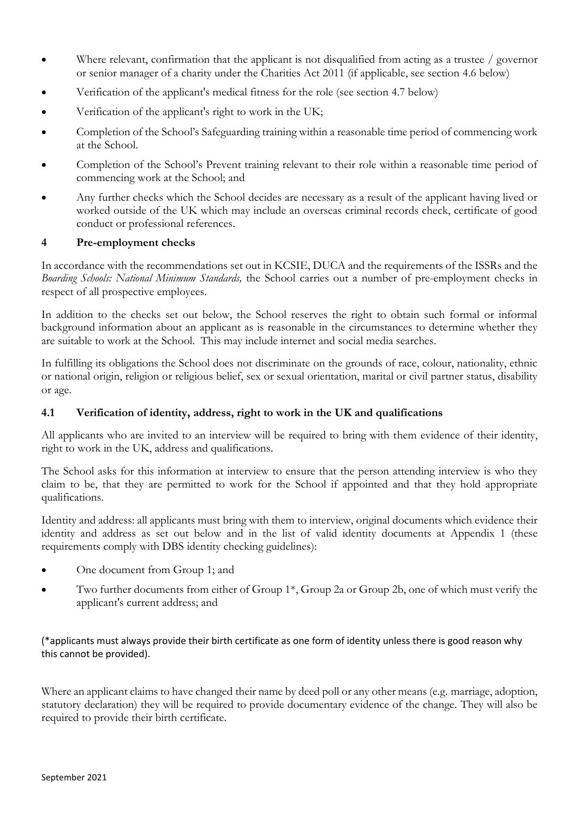- Where relevant, confirmation that the applicant is not disqualified from acting as a trustee  $/$  governor or senior manager of a charity under the Charities Act 2011 (if applicable, see section 4.6 below)
- Verification of the applicant's medical fitness for the role (see section 4.7 below)
- Verification of the applicant's right to work in the UK;
- Completion of the School's Safeguarding training within a reasonable time period of commencing work at the School.
- Completion of the School's Prevent training relevant to their role within a reasonable time period of commencing work at the School; and
- Any further checks which the School decides are necessary as a result of the applicant having lived or worked outside of the UK which may include an overseas criminal records check, certificate of good conduct or professional references.

### **4 Pre-employment checks**

In accordance with the recommendations set out in KCSIE, DUCA and the requirements of the ISSRs and the *Boarding Schools: National Minimum Standards,* the School carries out a number of pre-employment checks in respect of all prospective employees.

In addition to the checks set out below, the School reserves the right to obtain such formal or informal background information about an applicant as is reasonable in the circumstances to determine whether they are suitable to work at the School. This may include internet and social media searches.

In fulfilling its obligations the School does not discriminate on the grounds of race, colour, nationality, ethnic or national origin, religion or religious belief, sex or sexual orientation, marital or civil partner status, disability or age.

### **4.1 Verification of identity, address, right to work in the UK and qualifications**

All applicants who are invited to an interview will be required to bring with them evidence of their identity, right to work in the UK, address and qualifications.

The School asks for this information at interview to ensure that the person attending interview is who they claim to be, that they are permitted to work for the School if appointed and that they hold appropriate qualifications.

Identity and address: all applicants must bring with them to interview, original documents which evidence their identity and address as set out below and in the list of valid identity documents at Appendix 1 (these requirements comply with DBS identity checking guidelines):

- One document from Group 1; and
- Two further documents from either of Group 1\*, Group 2a or Group 2b, one of which must verify the applicant's current address; and

### (\*applicants must always provide their birth certificate as one form of identity unless there is good reason why this cannot be provided).

Where an applicant claims to have changed their name by deed poll or any other means (e.g. marriage, adoption, statutory declaration) they will be required to provide documentary evidence of the change. They will also be required to provide their birth certificate.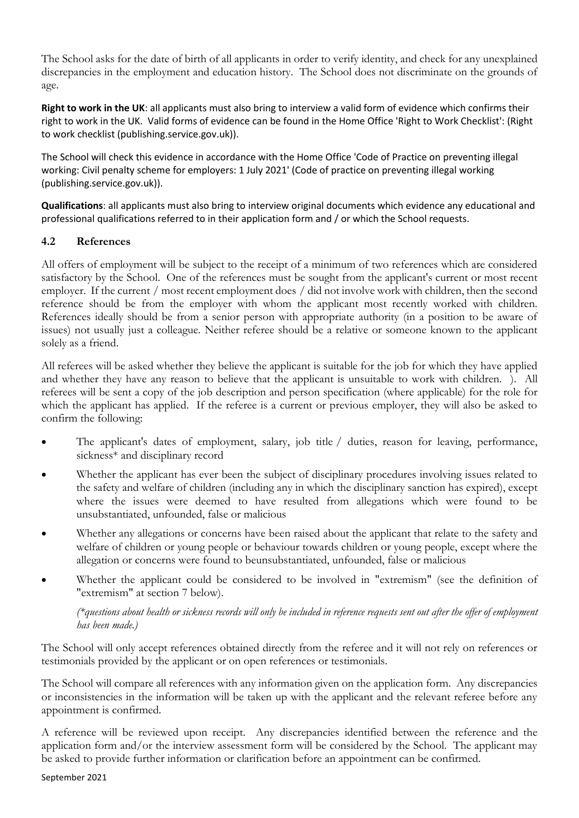The School asks for the date of birth of all applicants in order to verify identity, and check for any unexplained discrepancies in the employment and education history. The School does not discriminate on the grounds of age.

**Right to work in the UK**: all applicants must also bring to interview a valid form of evidence which confirms their right to work in the UK. Valid forms of evidence can be found in the Home Office 'Right to Work Checklist': (Right to work checklist (publishing.service.gov.uk)).

The School will check this evidence in accordance with the Home Office 'Code of Practice on preventing illegal working: Civil penalty scheme for employers: 1 July 2021' (Code of practice on preventing illegal working (publishing.service.gov.uk)).

**Qualifications**: all applicants must also bring to interview original documents which evidence any educational and professional qualifications referred to in their application form and / or which the School requests.

# **4.2 References**

All offers of employment will be subject to the receipt of a minimum of two references which are considered satisfactory by the School. One of the references must be sought from the applicant's current or most recent employer. If the current / most recent employment does / did not involve work with children, then the second reference should be from the employer with whom the applicant most recently worked with children. References ideally should be from a senior person with appropriate authority (in a position to be aware of issues) not usually just a colleague. Neither referee should be a relative or someone known to the applicant solely as a friend.

All referees will be asked whether they believe the applicant is suitable for the job for which they have applied and whether they have any reason to believe that the applicant is unsuitable to work with children. ). All referees will be sent a copy of the job description and person specification (where applicable) for the role for which the applicant has applied. If the referee is a current or previous employer, they will also be asked to confirm the following:

- The applicant's dates of employment, salary, job title / duties, reason for leaving, performance, sickness\* and disciplinary record
- Whether the applicant has ever been the subject of disciplinary procedures involving issues related to the safety and welfare of children (including any in which the disciplinary sanction has expired), except where the issues were deemed to have resulted from allegations which were found to be unsubstantiated, unfounded, false or malicious
- Whether any allegations or concerns have been raised about the applicant that relate to the safety and welfare of children or young people or behaviour towards children or young people, except where the allegation or concerns were found to beunsubstantiated, unfounded, false or malicious
- Whether the applicant could be considered to be involved in "extremism" (see the definition of "extremism" at section 7 below).

*(\*questions about health or sickness records will only be included in reference requests sent out after the offer of employment has been made.)*

The School will only accept references obtained directly from the referee and it will not rely on references or testimonials provided by the applicant or on open references or testimonials.

The School will compare all references with any information given on the application form. Any discrepancies or inconsistencies in the information will be taken up with the applicant and the relevant referee before any appointment is confirmed.

A reference will be reviewed upon receipt. Any discrepancies identified between the reference and the application form and/or the interview assessment form will be considered by the School. The applicant may be asked to provide further information or clarification before an appointment can be confirmed.

September 2021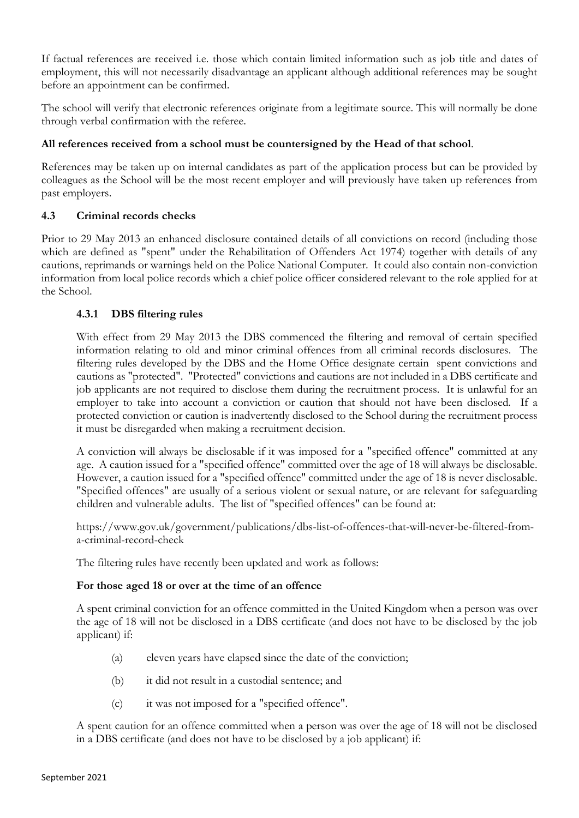If factual references are received i.e. those which contain limited information such as job title and dates of employment, this will not necessarily disadvantage an applicant although additional references may be sought before an appointment can be confirmed.

The school will verify that electronic references originate from a legitimate source. This will normally be done through verbal confirmation with the referee.

# **All references received from a school must be countersigned by the Head of that school**.

References may be taken up on internal candidates as part of the application process but can be provided by colleagues as the School will be the most recent employer and will previously have taken up references from past employers.

## **4.3 Criminal records checks**

Prior to 29 May 2013 an enhanced disclosure contained details of all convictions on record (including those which are defined as "spent" under the Rehabilitation of Offenders Act 1974) together with details of any cautions, reprimands or warnings held on the Police National Computer. It could also contain non-conviction information from local police records which a chief police officer considered relevant to the role applied for at the School.

## **4.3.1 DBS filtering rules**

With effect from 29 May 2013 the DBS commenced the filtering and removal of certain specified information relating to old and minor criminal offences from all criminal records disclosures. The filtering rules developed by the DBS and the Home Office designate certain spent convictions and cautions as "protected". "Protected" convictions and cautions are not included in a DBS certificate and job applicants are not required to disclose them during the recruitment process. It is unlawful for an employer to take into account a conviction or caution that should not have been disclosed. If a protected conviction or caution is inadvertently disclosed to the School during the recruitment process it must be disregarded when making a recruitment decision.

A conviction will always be disclosable if it was imposed for a "specified offence" committed at any age. A caution issued for a "specified offence" committed over the age of 18 will always be disclosable. However, a caution issued for a "specified offence" committed under the age of 18 is never disclosable. "Specified offences" are usually of a serious violent or sexual nature, or are relevant for safeguarding children and vulnerable adults. The list of "specified offences" can be found at:

https://www.gov.uk/government/publications/dbs-list-of-offences-that-will-never-be-filtered-froma-criminal-record-check

The filtering rules have recently been updated and work as follows:

### **For those aged 18 or over at the time of an offence**

A spent criminal conviction for an offence committed in the United Kingdom when a person was over the age of 18 will not be disclosed in a DBS certificate (and does not have to be disclosed by the job applicant) if:

- (a) eleven years have elapsed since the date of the conviction;
- (b) it did not result in a custodial sentence; and
- (c) it was not imposed for a "specified offence".

A spent caution for an offence committed when a person was over the age of 18 will not be disclosed in a DBS certificate (and does not have to be disclosed by a job applicant) if: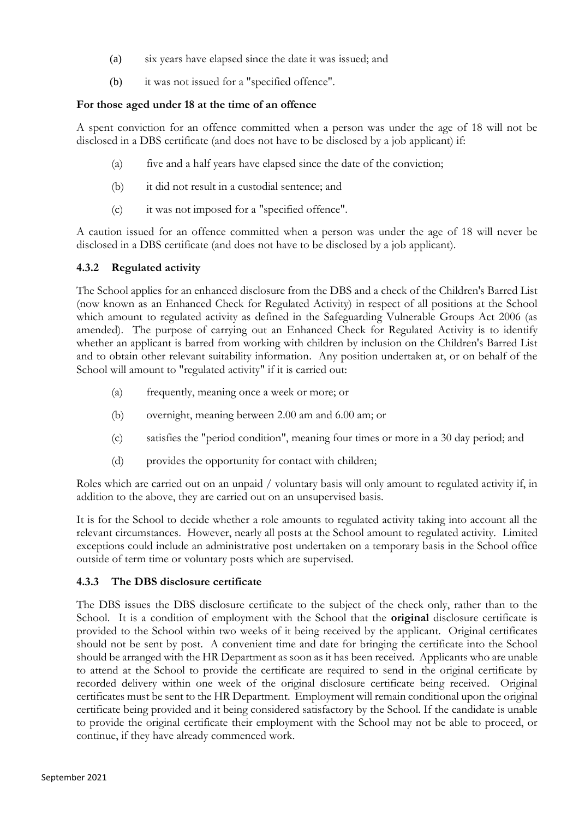- (a) six years have elapsed since the date it was issued; and
- (b) it was not issued for a "specified offence".

# **For those aged under 18 at the time of an offence**

A spent conviction for an offence committed when a person was under the age of 18 will not be disclosed in a DBS certificate (and does not have to be disclosed by a job applicant) if:

- (a) five and a half years have elapsed since the date of the conviction;
- (b) it did not result in a custodial sentence; and
- (c) it was not imposed for a "specified offence".

A caution issued for an offence committed when a person was under the age of 18 will never be disclosed in a DBS certificate (and does not have to be disclosed by a job applicant).

## **4.3.2 Regulated activity**

The School applies for an enhanced disclosure from the DBS and a check of the Children's Barred List (now known as an Enhanced Check for Regulated Activity) in respect of all positions at the School which amount to regulated activity as defined in the Safeguarding Vulnerable Groups Act 2006 (as amended). The purpose of carrying out an Enhanced Check for Regulated Activity is to identify whether an applicant is barred from working with children by inclusion on the Children's Barred List and to obtain other relevant suitability information. Any position undertaken at, or on behalf of the School will amount to "regulated activity" if it is carried out:

- (a) frequently, meaning once a week or more; or
- (b) overnight, meaning between 2.00 am and 6.00 am; or
- (c) satisfies the "period condition", meaning four times or more in a 30 day period; and
- (d) provides the opportunity for contact with children;

Roles which are carried out on an unpaid / voluntary basis will only amount to regulated activity if, in addition to the above, they are carried out on an unsupervised basis.

It is for the School to decide whether a role amounts to regulated activity taking into account all the relevant circumstances. However, nearly all posts at the School amount to regulated activity. Limited exceptions could include an administrative post undertaken on a temporary basis in the School office outside of term time or voluntary posts which are supervised.

# **4.3.3 The DBS disclosure certificate**

The DBS issues the DBS disclosure certificate to the subject of the check only, rather than to the School. It is a condition of employment with the School that the **original** disclosure certificate is provided to the School within two weeks of it being received by the applicant. Original certificates should not be sent by post. A convenient time and date for bringing the certificate into the School should be arranged with the HR Department as soon as it has been received. Applicants who are unable to attend at the School to provide the certificate are required to send in the original certificate by recorded delivery within one week of the original disclosure certificate being received. Original certificates must be sent to the HR Department. Employment will remain conditional upon the original certificate being provided and it being considered satisfactory by the School. If the candidate is unable to provide the original certificate their employment with the School may not be able to proceed, or continue, if they have already commenced work.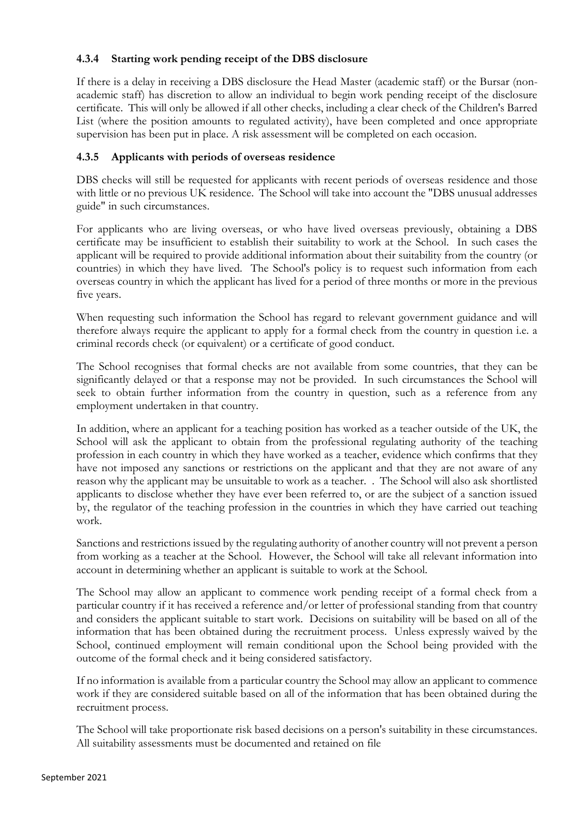# **4.3.4 Starting work pending receipt of the DBS disclosure**

If there is a delay in receiving a DBS disclosure the Head Master (academic staff) or the Bursar (nonacademic staff) has discretion to allow an individual to begin work pending receipt of the disclosure certificate. This will only be allowed if all other checks, including a clear check of the Children's Barred List (where the position amounts to regulated activity), have been completed and once appropriate supervision has been put in place. A risk assessment will be completed on each occasion.

### **4.3.5 Applicants with periods of overseas residence**

DBS checks will still be requested for applicants with recent periods of overseas residence and those with little or no previous UK residence. The School will take into account the "DBS unusual addresses guide" in such circumstances.

For applicants who are living overseas, or who have lived overseas previously, obtaining a DBS certificate may be insufficient to establish their suitability to work at the School. In such cases the applicant will be required to provide additional information about their suitability from the country (or countries) in which they have lived. The School's policy is to request such information from each overseas country in which the applicant has lived for a period of three months or more in the previous five years.

When requesting such information the School has regard to relevant government guidance and will therefore always require the applicant to apply for a formal check from the country in question i.e. a criminal records check (or equivalent) or a certificate of good conduct.

The School recognises that formal checks are not available from some countries, that they can be significantly delayed or that a response may not be provided. In such circumstances the School will seek to obtain further information from the country in question, such as a reference from any employment undertaken in that country.

In addition, where an applicant for a teaching position has worked as a teacher outside of the UK, the School will ask the applicant to obtain from the professional regulating authority of the teaching profession in each country in which they have worked as a teacher, evidence which confirms that they have not imposed any sanctions or restrictions on the applicant and that they are not aware of any reason why the applicant may be unsuitable to work as a teacher. . The School will also ask shortlisted applicants to disclose whether they have ever been referred to, or are the subject of a sanction issued by, the regulator of the teaching profession in the countries in which they have carried out teaching work.

Sanctions and restrictions issued by the regulating authority of another country will not prevent a person from working as a teacher at the School. However, the School will take all relevant information into account in determining whether an applicant is suitable to work at the School.

The School may allow an applicant to commence work pending receipt of a formal check from a particular country if it has received a reference and/or letter of professional standing from that country and considers the applicant suitable to start work. Decisions on suitability will be based on all of the information that has been obtained during the recruitment process. Unless expressly waived by the School, continued employment will remain conditional upon the School being provided with the outcome of the formal check and it being considered satisfactory.

If no information is available from a particular country the School may allow an applicant to commence work if they are considered suitable based on all of the information that has been obtained during the recruitment process.

The School will take proportionate risk based decisions on a person's suitability in these circumstances. All suitability assessments must be documented and retained on file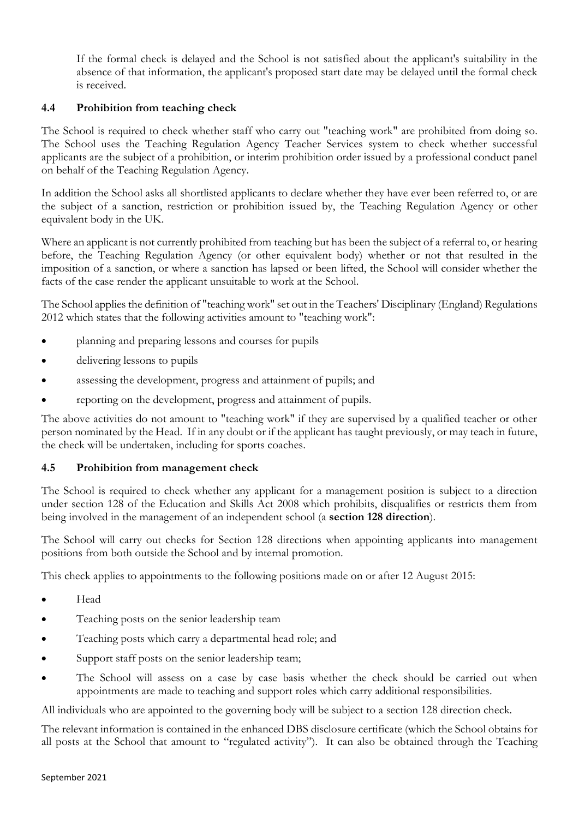If the formal check is delayed and the School is not satisfied about the applicant's suitability in the absence of that information, the applicant's proposed start date may be delayed until the formal check is received.

## **4.4 Prohibition from teaching check**

The School is required to check whether staff who carry out "teaching work" are prohibited from doing so. The School uses the Teaching Regulation Agency Teacher Services system to check whether successful applicants are the subject of a prohibition, or interim prohibition order issued by a professional conduct panel on behalf of the Teaching Regulation Agency.

In addition the School asks all shortlisted applicants to declare whether they have ever been referred to, or are the subject of a sanction, restriction or prohibition issued by, the Teaching Regulation Agency or other equivalent body in the UK.

Where an applicant is not currently prohibited from teaching but has been the subject of a referral to, or hearing before, the Teaching Regulation Agency (or other equivalent body) whether or not that resulted in the imposition of a sanction, or where a sanction has lapsed or been lifted, the School will consider whether the facts of the case render the applicant unsuitable to work at the School.

The School applies the definition of "teaching work" set out in the Teachers' Disciplinary (England) Regulations 2012 which states that the following activities amount to "teaching work":

- planning and preparing lessons and courses for pupils
- delivering lessons to pupils
- assessing the development, progress and attainment of pupils; and
- reporting on the development, progress and attainment of pupils.

The above activities do not amount to "teaching work" if they are supervised by a qualified teacher or other person nominated by the Head. If in any doubt or if the applicant has taught previously, or may teach in future, the check will be undertaken, including for sports coaches.

### **4.5 Prohibition from management check**

The School is required to check whether any applicant for a management position is subject to a direction under section 128 of the Education and Skills Act 2008 which prohibits, disqualifies or restricts them from being involved in the management of an independent school (a **section 128 direction**).

The School will carry out checks for Section 128 directions when appointing applicants into management positions from both outside the School and by internal promotion.

This check applies to appointments to the following positions made on or after 12 August 2015:

- Head
- Teaching posts on the senior leadership team
- Teaching posts which carry a departmental head role; and
- Support staff posts on the senior leadership team;
- The School will assess on a case by case basis whether the check should be carried out when appointments are made to teaching and support roles which carry additional responsibilities.

All individuals who are appointed to the governing body will be subject to a section 128 direction check.

The relevant information is contained in the enhanced DBS disclosure certificate (which the School obtains for all posts at the School that amount to "regulated activity"). It can also be obtained through the Teaching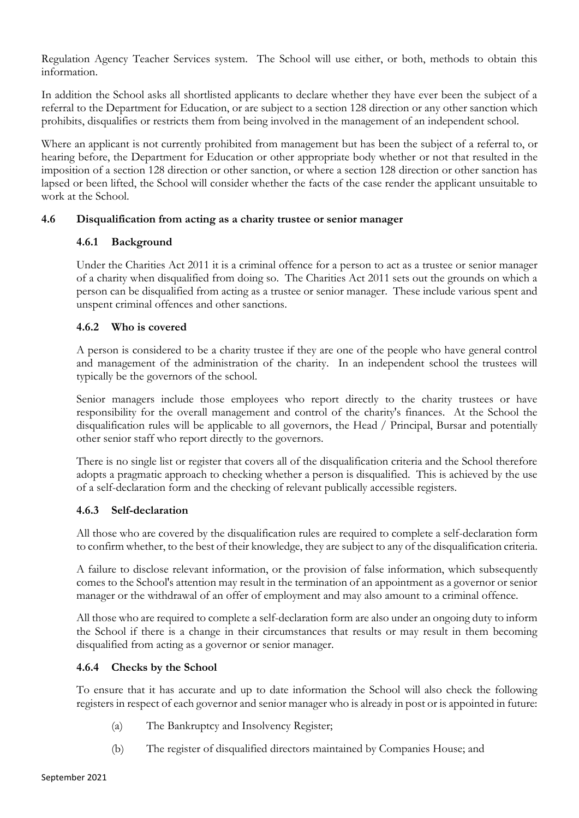Regulation Agency Teacher Services system. The School will use either, or both, methods to obtain this information.

In addition the School asks all shortlisted applicants to declare whether they have ever been the subject of a referral to the Department for Education, or are subject to a section 128 direction or any other sanction which prohibits, disqualifies or restricts them from being involved in the management of an independent school.

Where an applicant is not currently prohibited from management but has been the subject of a referral to, or hearing before, the Department for Education or other appropriate body whether or not that resulted in the imposition of a section 128 direction or other sanction, or where a section 128 direction or other sanction has lapsed or been lifted, the School will consider whether the facts of the case render the applicant unsuitable to work at the School.

## **4.6 Disqualification from acting as a charity trustee or senior manager**

## **4.6.1 Background**

Under the Charities Act 2011 it is a criminal offence for a person to act as a trustee or senior manager of a charity when disqualified from doing so. The Charities Act 2011 sets out the grounds on which a person can be disqualified from acting as a trustee or senior manager. These include various spent and unspent criminal offences and other sanctions.

## **4.6.2 Who is covered**

A person is considered to be a charity trustee if they are one of the people who have general control and management of the administration of the charity. In an independent school the trustees will typically be the governors of the school.

Senior managers include those employees who report directly to the charity trustees or have responsibility for the overall management and control of the charity's finances. At the School the disqualification rules will be applicable to all governors, the Head / Principal, Bursar and potentially other senior staff who report directly to the governors.

There is no single list or register that covers all of the disqualification criteria and the School therefore adopts a pragmatic approach to checking whether a person is disqualified. This is achieved by the use of a self-declaration form and the checking of relevant publically accessible registers.

### **4.6.3 Self-declaration**

All those who are covered by the disqualification rules are required to complete a self-declaration form to confirm whether, to the best of their knowledge, they are subject to any of the disqualification criteria.

A failure to disclose relevant information, or the provision of false information, which subsequently comes to the School's attention may result in the termination of an appointment as a governor or senior manager or the withdrawal of an offer of employment and may also amount to a criminal offence.

All those who are required to complete a self-declaration form are also under an ongoing duty to inform the School if there is a change in their circumstances that results or may result in them becoming disqualified from acting as a governor or senior manager.

# **4.6.4 Checks by the School**

To ensure that it has accurate and up to date information the School will also check the following registers in respect of each governor and senior manager who is already in post or is appointed in future:

- (a) The Bankruptcy and Insolvency Register;
- (b) The register of disqualified directors maintained by Companies House; and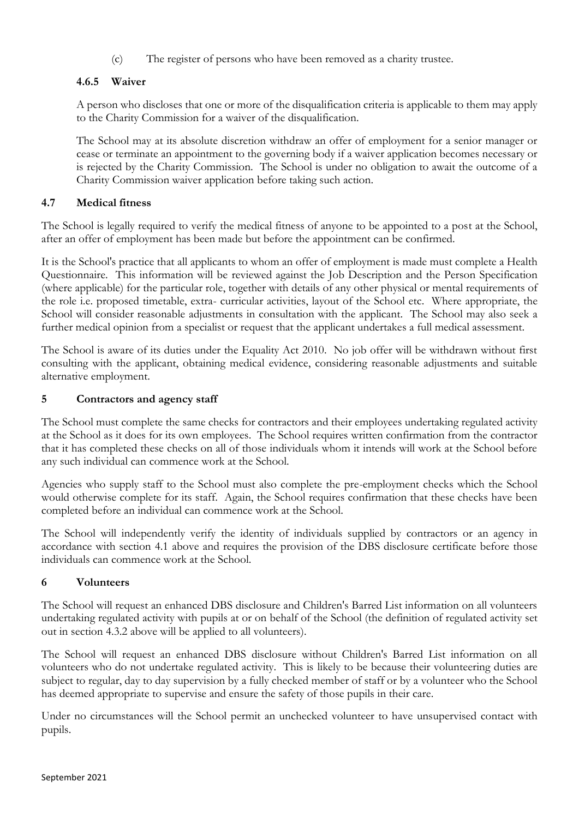(c) The register of persons who have been removed as a charity trustee.

# **4.6.5 Waiver**

A person who discloses that one or more of the disqualification criteria is applicable to them may apply to the Charity Commission for a waiver of the disqualification.

The School may at its absolute discretion withdraw an offer of employment for a senior manager or cease or terminate an appointment to the governing body if a waiver application becomes necessary or is rejected by the Charity Commission. The School is under no obligation to await the outcome of a Charity Commission waiver application before taking such action.

# **4.7 Medical fitness**

The School is legally required to verify the medical fitness of anyone to be appointed to a post at the School, after an offer of employment has been made but before the appointment can be confirmed.

It is the School's practice that all applicants to whom an offer of employment is made must complete a Health Questionnaire. This information will be reviewed against the Job Description and the Person Specification (where applicable) for the particular role, together with details of any other physical or mental requirements of the role i.e. proposed timetable, extra- curricular activities, layout of the School etc. Where appropriate, the School will consider reasonable adjustments in consultation with the applicant. The School may also seek a further medical opinion from a specialist or request that the applicant undertakes a full medical assessment.

The School is aware of its duties under the Equality Act 2010. No job offer will be withdrawn without first consulting with the applicant, obtaining medical evidence, considering reasonable adjustments and suitable alternative employment.

## **5 Contractors and agency staff**

The School must complete the same checks for contractors and their employees undertaking regulated activity at the School as it does for its own employees. The School requires written confirmation from the contractor that it has completed these checks on all of those individuals whom it intends will work at the School before any such individual can commence work at the School.

Agencies who supply staff to the School must also complete the pre-employment checks which the School would otherwise complete for its staff. Again, the School requires confirmation that these checks have been completed before an individual can commence work at the School.

The School will independently verify the identity of individuals supplied by contractors or an agency in accordance with section 4.1 above and requires the provision of the DBS disclosure certificate before those individuals can commence work at the School.

### **6 Volunteers**

The School will request an enhanced DBS disclosure and Children's Barred List information on all volunteers undertaking regulated activity with pupils at or on behalf of the School (the definition of regulated activity set out in section 4.3.2 above will be applied to all volunteers).

The School will request an enhanced DBS disclosure without Children's Barred List information on all volunteers who do not undertake regulated activity. This is likely to be because their volunteering duties are subject to regular, day to day supervision by a fully checked member of staff or by a volunteer who the School has deemed appropriate to supervise and ensure the safety of those pupils in their care.

Under no circumstances will the School permit an unchecked volunteer to have unsupervised contact with pupils.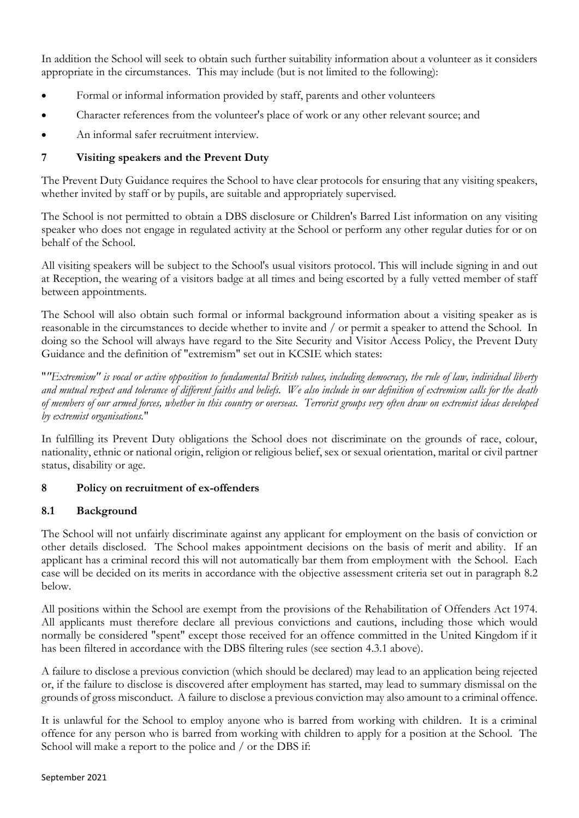In addition the School will seek to obtain such further suitability information about a volunteer as it considers appropriate in the circumstances. This may include (but is not limited to the following):

- Formal or informal information provided by staff, parents and other volunteers
- Character references from the volunteer's place of work or any other relevant source; and
- An informal safer recruitment interview.

# **7 Visiting speakers and the Prevent Duty**

The Prevent Duty Guidance requires the School to have clear protocols for ensuring that any visiting speakers, whether invited by staff or by pupils, are suitable and appropriately supervised.

The School is not permitted to obtain a DBS disclosure or Children's Barred List information on any visiting speaker who does not engage in regulated activity at the School or perform any other regular duties for or on behalf of the School.

All visiting speakers will be subject to the School's usual visitors protocol. This will include signing in and out at Reception, the wearing of a visitors badge at all times and being escorted by a fully vetted member of staff between appointments.

The School will also obtain such formal or informal background information about a visiting speaker as is reasonable in the circumstances to decide whether to invite and / or permit a speaker to attend the School. In doing so the School will always have regard to the Site Security and Visitor Access Policy, the Prevent Duty Guidance and the definition of "extremism" set out in KCSIE which states:

"*"Extremism" is vocal or active opposition to fundamental British values, including democracy, the rule of law, individual liberty and mutual respect and tolerance of different faiths and beliefs. We also include in our definition of extremism calls for the death of members of our armed forces, whether in this country or overseas. Terrorist groups very often draw on extremist ideas developed by extremist organisations.*"

In fulfilling its Prevent Duty obligations the School does not discriminate on the grounds of race, colour, nationality, ethnic or national origin, religion or religious belief, sex or sexual orientation, marital or civil partner status, disability or age.

# **8 Policy on recruitment of ex-offenders**

### **8.1 Background**

The School will not unfairly discriminate against any applicant for employment on the basis of conviction or other details disclosed. The School makes appointment decisions on the basis of merit and ability. If an applicant has a criminal record this will not automatically bar them from employment with the School. Each case will be decided on its merits in accordance with the objective assessment criteria set out in paragraph 8.2 below.

All positions within the School are exempt from the provisions of the Rehabilitation of Offenders Act 1974. All applicants must therefore declare all previous convictions and cautions, including those which would normally be considered "spent" except those received for an offence committed in the United Kingdom if it has been filtered in accordance with the DBS filtering rules (see section 4.3.1 above).

A failure to disclose a previous conviction (which should be declared) may lead to an application being rejected or, if the failure to disclose is discovered after employment has started, may lead to summary dismissal on the grounds of gross misconduct. A failure to disclose a previous conviction may also amount to a criminal offence.

It is unlawful for the School to employ anyone who is barred from working with children. It is a criminal offence for any person who is barred from working with children to apply for a position at the School. The School will make a report to the police and / or the DBS if: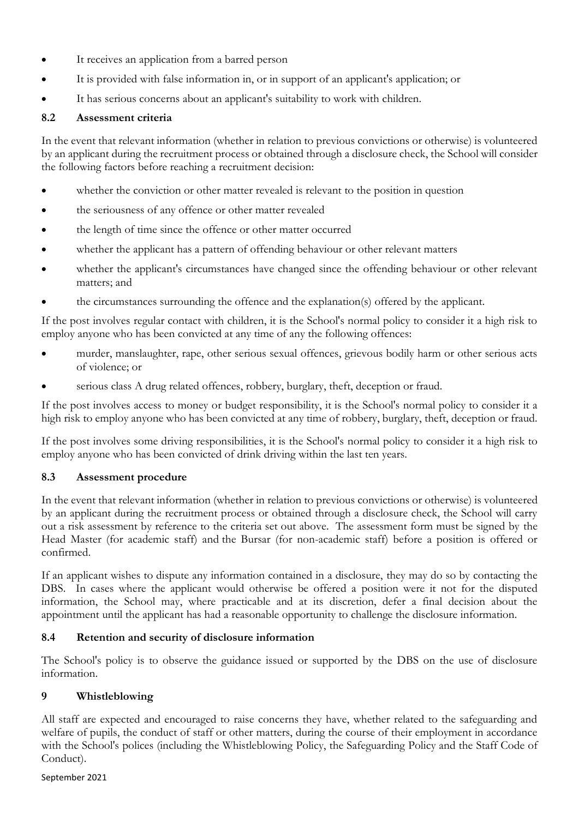- It receives an application from a barred person
- It is provided with false information in, or in support of an applicant's application; or
- It has serious concerns about an applicant's suitability to work with children.

### **8.2 Assessment criteria**

In the event that relevant information (whether in relation to previous convictions or otherwise) is volunteered by an applicant during the recruitment process or obtained through a disclosure check, the School will consider the following factors before reaching a recruitment decision:

- whether the conviction or other matter revealed is relevant to the position in question
- the seriousness of any offence or other matter revealed
- the length of time since the offence or other matter occurred
- whether the applicant has a pattern of offending behaviour or other relevant matters
- whether the applicant's circumstances have changed since the offending behaviour or other relevant matters; and
- the circumstances surrounding the offence and the explanation(s) offered by the applicant.

If the post involves regular contact with children, it is the School's normal policy to consider it a high risk to employ anyone who has been convicted at any time of any the following offences:

- murder, manslaughter, rape, other serious sexual offences, grievous bodily harm or other serious acts of violence; or
- serious class A drug related offences, robbery, burglary, theft, deception or fraud.

If the post involves access to money or budget responsibility, it is the School's normal policy to consider it a high risk to employ anyone who has been convicted at any time of robbery, burglary, theft, deception or fraud.

If the post involves some driving responsibilities, it is the School's normal policy to consider it a high risk to employ anyone who has been convicted of drink driving within the last ten years.

### **8.3 Assessment procedure**

In the event that relevant information (whether in relation to previous convictions or otherwise) is volunteered by an applicant during the recruitment process or obtained through a disclosure check, the School will carry out a risk assessment by reference to the criteria set out above. The assessment form must be signed by the Head Master (for academic staff) and the Bursar (for non-academic staff) before a position is offered or confirmed.

If an applicant wishes to dispute any information contained in a disclosure, they may do so by contacting the DBS. In cases where the applicant would otherwise be offered a position were it not for the disputed information, the School may, where practicable and at its discretion, defer a final decision about the appointment until the applicant has had a reasonable opportunity to challenge the disclosure information.

### **8.4 Retention and security of disclosure information**

The School's policy is to observe the guidance issued or supported by the DBS on the use of disclosure information.

### **9 Whistleblowing**

All staff are expected and encouraged to raise concerns they have, whether related to the safeguarding and welfare of pupils, the conduct of staff or other matters, during the course of their employment in accordance with the School's polices (including the Whistleblowing Policy, the Safeguarding Policy and the Staff Code of Conduct).

#### September 2021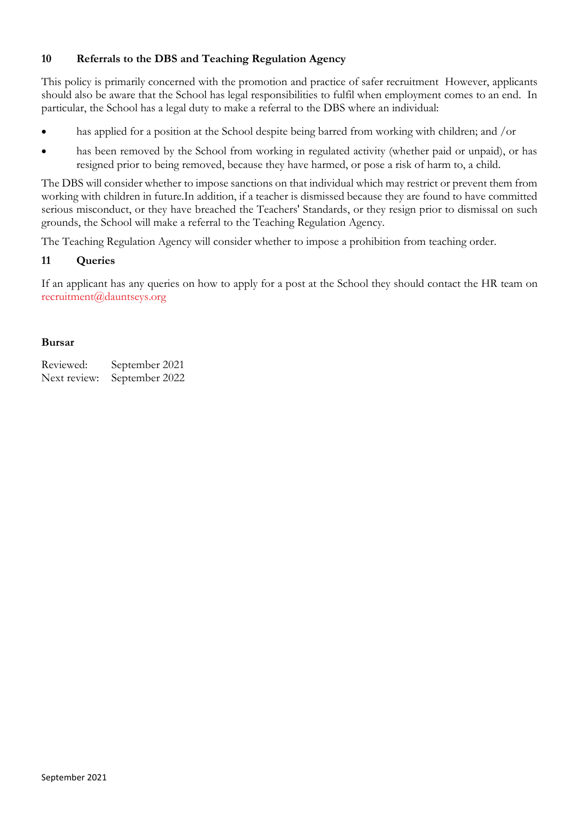# **10 Referrals to the DBS and Teaching Regulation Agency**

This policy is primarily concerned with the promotion and practice of safer recruitment However, applicants should also be aware that the School has legal responsibilities to fulfil when employment comes to an end. In particular, the School has a legal duty to make a referral to the DBS where an individual:

- has applied for a position at the School despite being barred from working with children; and /or
- has been removed by the School from working in regulated activity (whether paid or unpaid), or has resigned prior to being removed, because they have harmed, or pose a risk of harm to, a child.

The DBS will consider whether to impose sanctions on that individual which may restrict or prevent them from working with children in future.In addition, if a teacher is dismissed because they are found to have committed serious misconduct, or they have breached the Teachers' Standards, or they resign prior to dismissal on such grounds, the School will make a referral to the Teaching Regulation Agency.

The Teaching Regulation Agency will consider whether to impose a prohibition from teaching order.

### **11 Queries**

If an applicant has any queries on how to apply for a post at the School they should contact the HR team on [recruitment@dauntseys.org](mailto:recruitment@dauntseys.org)

#### **Bursar**

Reviewed: September 2021 Next review: September 2022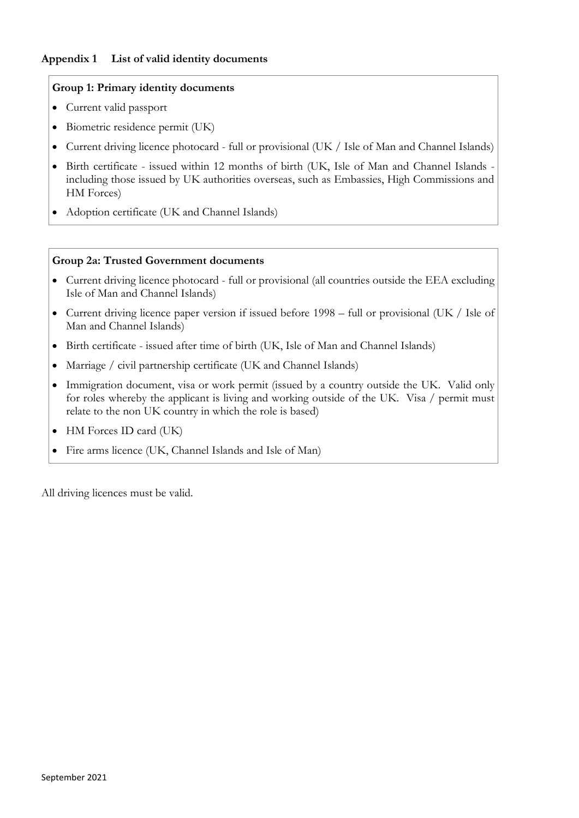### **Appendix 1 List of valid identity documents**

### **Group 1: Primary identity documents**

- Current valid passport
- Biometric residence permit (UK)
- Current driving licence photocard full or provisional (UK / Isle of Man and Channel Islands)
- Birth certificate issued within 12 months of birth (UK, Isle of Man and Channel Islands including those issued by UK authorities overseas, such as Embassies, High Commissions and HM Forces)
- Adoption certificate (UK and Channel Islands)

#### **Group 2a: Trusted Government documents**

- Current driving licence photocard full or provisional (all countries outside the EEA excluding Isle of Man and Channel Islands)
- Current driving licence paper version if issued before 1998 full or provisional (UK / Isle of Man and Channel Islands)
- Birth certificate issued after time of birth (UK, Isle of Man and Channel Islands)
- Marriage / civil partnership certificate (UK and Channel Islands)
- Immigration document, visa or work permit (issued by a country outside the UK. Valid only for roles whereby the applicant is living and working outside of the UK. Visa / permit must relate to the non UK country in which the role is based)
- HM Forces ID card (UK)
- Fire arms licence (UK, Channel Islands and Isle of Man)

All driving licences must be valid.